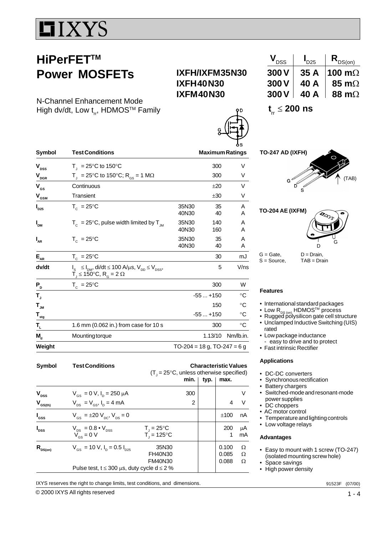# IIXYS

## **HiPerFETTM Power MOSFETs**

N-Channel Enhancement Mode High dv/dt, Low  $t_{rr}$ , HDMOS<sup>TM</sup> Family

### **IXFH/IXFM35N30 IXFH40N30 IXFM40N30**

| $\bm{v}_{\texttt{DSS}}$ |      | $R_{DS(on)}$   |
|-------------------------|------|----------------|
| 300V                    | 35 A | 100 m $\Omega$ |
| 300V                    | 40 A | 85 m $\Omega$  |
| 300V                    | 40 A | 88 m $\Omega$  |

**t**<sub>rr</sub> ≤ **200 ns** 

| Symbol                         | <b>Test Conditions</b>                                                                                                                                                            |                                  | 6S<br><b>Maximum Ratings</b> |             |  |
|--------------------------------|-----------------------------------------------------------------------------------------------------------------------------------------------------------------------------------|----------------------------------|------------------------------|-------------|--|
| $\mathsf{V}_\mathsf{DSS}$      | $T_{\parallel}$ = 25°C to 150°C                                                                                                                                                   |                                  | 300                          | V           |  |
| $\mathbf{V}_{\text{DGR}}$      | $T_{\text{H}}$ = 25°C to 150°C; R <sub>GS</sub> = 1 MΩ                                                                                                                            |                                  | 300                          | V           |  |
| $V_{gs}$                       | Continuous                                                                                                                                                                        |                                  | ±20                          | V           |  |
| $\mathsf{V}_{_{\mathsf{GSM}}}$ | Transient                                                                                                                                                                         |                                  | ±30                          | V           |  |
| $\boldsymbol{I}_{D25}$         | $T_c = 25^{\circ}$ C                                                                                                                                                              | 35N30<br>40N30                   | 35<br>40                     | A<br>A      |  |
| I <sub>DM</sub>                | $T_c$ = 25°C, pulse width limited by $T_{JM}$                                                                                                                                     | 35N30<br>40N30                   | 140<br>160                   | A<br>A      |  |
| $I_{AR}$                       | $T_c = 25^{\circ}C$                                                                                                                                                               | 35N30<br>40N30                   | 35<br>40                     | A<br>A      |  |
| $E_{AR}$                       | $T_c = 25^{\circ}C$                                                                                                                                                               |                                  | 30                           | mJ          |  |
| dv/dt                          | $I_{S}$ $\leq I_{DM}$ , di/dt $\leq 100$ A/ $\mu$ s, V <sub>DD</sub> $\leq$ V <sub>DSS</sub> ,<br>$\overrightarrow{T}_1 \leq 150^\circ \text{C}, \overrightarrow{R}_6 = 2 \Omega$ |                                  | 5                            | V/ns        |  |
| P,                             | $T_c = 25^{\circ}C$                                                                                                                                                               |                                  | 300                          | W           |  |
| т,                             |                                                                                                                                                                                   |                                  | $-55+150$                    | $^{\circ}C$ |  |
| $T_{\mathsf{JM}}$              |                                                                                                                                                                                   |                                  | 150                          | $^{\circ}C$ |  |
| $T_{\frac{stg}{}}$             |                                                                                                                                                                                   |                                  | $-55+150$                    | $^{\circ}C$ |  |
| T <sub>L</sub>                 | 1.6 mm (0.062 in.) from case for 10 s                                                                                                                                             |                                  | 300                          | °C          |  |
| $M_{\rm d}$                    | Mounting torque                                                                                                                                                                   |                                  | 1.13/10                      | Nm/lb.in.   |  |
| Weight                         |                                                                                                                                                                                   | $TO-204 = 18 g$ , $TO-247 = 6 g$ |                              |             |  |

| <b>Symbol</b>    | <b>Test Conditions</b>                                                                              | <b>Characteristic Values</b><br>$(T_i = 25^{\circ}C$ , unless otherwise specified)<br>min.<br>typ.<br>max. |  |                         |             |
|------------------|-----------------------------------------------------------------------------------------------------|------------------------------------------------------------------------------------------------------------|--|-------------------------|-------------|
| $V_{\text{DSS}}$ | $V_{\text{gs}} = 0 V$ , $I_{\text{p}} = 250 \mu A$                                                  | 300                                                                                                        |  |                         | v           |
| $V_{GS(th)}$     | $V_{DS} = V_{GS}$ , $I_D = 4$ mA                                                                    | 2                                                                                                          |  | 4                       | V           |
| $I_{\rm dss}$    | $V_{\text{gs}} = \pm 20 V_{\text{pc}}$ , $V_{\text{ps}} = 0$                                        |                                                                                                            |  | ±100                    | nA          |
| $I_{\text{DSS}}$ | $V_{DS} = 0.8 \cdot V_{DSS}$<br>$V_{cs} = 0 V$                                                      | $T_{\rm j} = 25^{\circ}C$<br>$T_i = 125^{\circ}C$                                                          |  | 200<br>1                | μA<br>mA    |
| $R_{DS(on)}$     | $V_{cs}$ = 10 V, $I_{p}$ = 0.5 $I_{p25}$<br>Pulse test, $t \le 300 \mu s$ , duty cycle d $\le 2 \%$ | 35N30<br><b>FH40N30</b><br><b>FM40N30</b>                                                                  |  | 0.100<br>0.085<br>0.088 | Ω<br>Ω<br>Ω |

IXYS reserves the right to change limits, test conditions, and dimensions.



**TO-204 AE (IXFM)**



 $G =$  Gate,  $D =$  Drain, S = Source, TAB = Drain

#### **Features**

- International standard packages
- Low R<sub>DS (on)</sub> HDMOS™ process<br>• Rugged polysilicon gate cell structure
- Unclamped Inductive Switching (UIS)
- rated • Low package inductance
- easy to drive and to protect
- Fast intrinsic Rectifier

#### **Applications**

- DC-DC converters
- Synchronous rectification
- Battery chargers
- Switched-mode and resonant-mode power supplies
- DC choppers
- AC motor control
- Temperature and lighting controls
- Low voltage relays

#### **Advantages**

- Easy to mount with 1 screw (TO-247) (isolated mounting screw hole)
- Space savings
- High power density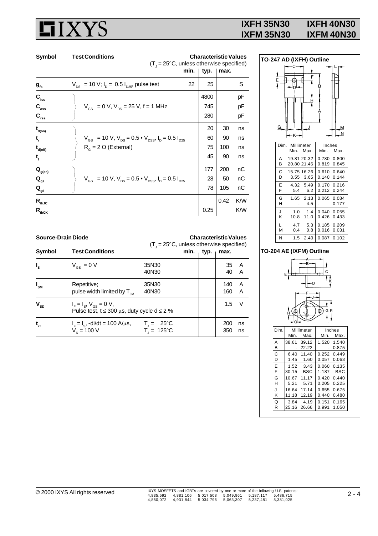# **HIXYS**

### **IXFH 35N30 IXFH 40N30 IXFM 35N30 IXFM 40N30**

| Symbol                      | <b>Test Conditions</b>                                                                                           | <b>Characteristic Values</b><br>$(T_{1} = 25^{\circ}C,$ unless otherwise specified) |      |     |
|-----------------------------|------------------------------------------------------------------------------------------------------------------|-------------------------------------------------------------------------------------|------|-----|
|                             | min.                                                                                                             | typ.                                                                                | max. |     |
| $g_{\rm fs}$                | 22<br>$V_{DS}$ = 10 V; $I_{D}$ = 0.5 $I_{D25}$ , pulse test                                                      | 25                                                                                  |      | S   |
| $C_{\text{iss}}$            |                                                                                                                  | 4800                                                                                |      | рF  |
| $\mathbf{C}_{\mathrm{oss}}$ | $V_{GS}$ = 0 V, $V_{DS}$ = 25 V, f = 1 MHz                                                                       | 745                                                                                 |      | рF  |
| $\mathbf{C}_{\text{rss}}$   |                                                                                                                  | 280                                                                                 |      | рF  |
| $t_{\text{\tiny{d(0n)}}}$   |                                                                                                                  | 20                                                                                  | 30   | ns  |
| t,                          | $V_{\text{GS}}$ = 10 V, $V_{\text{DS}}$ = 0.5 $\bullet$ V <sub>DSS</sub> , I <sub>D</sub> = 0.5 I <sub>D25</sub> | 60                                                                                  | 90   | ns  |
| $t_{d(off)}$                | $R_{\rm g}$ = 2 $\Omega$ (External)                                                                              | 75                                                                                  | 100  | ns  |
| $t_{f}$                     |                                                                                                                  | 45                                                                                  | 90   | ns  |
| $\mathbf{Q}_{\text{g(on)}}$ |                                                                                                                  | 177                                                                                 | 200  | nС  |
| $\mathbf{Q}_{gs}$           | $V_{\text{gs}}$ = 10 V, $V_{\text{ps}}$ = 0.5 $\bullet$ V <sub>DSS</sub> , I <sub>D</sub> = 0.5 I <sub>D25</sub> | 28                                                                                  | 50   | nС  |
| $\mathbf{Q}_{\mathsf{gd}}$  |                                                                                                                  | 78                                                                                  | 105  | nС  |
| $R_{thJC}$                  |                                                                                                                  |                                                                                     | 0.42 | K/W |
| $\mathsf{R}_{\text{thCK}}$  |                                                                                                                  | 0.25                                                                                |      | K/W |



#### **TO-204 AE (IXFM) Outline**



| — ⊙— |            |       |        |       |
|------|------------|-------|--------|-------|
| Dim. | Millimeter |       | Inches |       |
|      | Min.       | Max.  | Min.   | Max.  |
| A    | 38.61      | 39.12 | 1.520  | 1.540 |
| B    |            | 22.22 |        | 0.875 |
| Ċ    | 6.40       | 11.40 | 0.252  | 0.449 |
| D    | 1.45       | 1.60  | 0.057  | 0.063 |
| E    | 1.52       | 3.43  | 0.060  | 0.135 |
| F    | 30.15      | BSC   | 1.187  | BSC   |
| G    | 10.67      | 11.17 | 0.420  | 0.440 |
| н    | 5.21       | 5.71  | 0.205  | 0.225 |
| J    | 16.64      | 17.14 | 0.655  | 0.675 |
| Κ    | 11.18      | 12.19 | 0.440  | 0.480 |
| Q    | 3.84       | 4.19  | 0.151  | 0.165 |
| R    | 25.16      | 26.66 | 0.991  | 1.050 |

| Symbol | <b>Test Conditions</b> |  |
|--------|------------------------|--|
|        |                        |  |

**Source-Drain Diode Characteristic Values**

| Symbol                     | <b>Test Conditions</b>                                                                                   | $(T_{\text{I}} = 25^{\circ}C$ , unless otherwise specified)<br>min.<br>typ.<br>max. |  |            |          |
|----------------------------|----------------------------------------------------------------------------------------------------------|-------------------------------------------------------------------------------------|--|------------|----------|
| $I_{\rm s}$                | $V_{\text{gs}} = 0 V$                                                                                    | 35N30<br>40N30                                                                      |  | 35 A<br>40 | <b>A</b> |
| $I_{\rm SM}$               | Repetitive;<br>pulse width limited by $T_{\mu}$                                                          | 35N30<br>40N30                                                                      |  | 140<br>160 | A<br>A   |
| $\mathbf{V}_{\mathrm{SD}}$ | $I_{\rm r} = I_{\rm s}$ , $V_{\rm cs} = 0$ V,<br>Pulse test, $t \le 300 \mu s$ , duty cycle d $\le 2 \%$ |                                                                                     |  | 1.5        | – V      |
| $\mathbf{t}_\mathrm{rr}$   | $IF = IS$ , -di/dt = 100 A/ $\mu$ s,<br>$V_{p}$ = 100 V                                                  | $T_{\text{J}} = 25^{\circ}C$<br>$T_{\text{J}} = 125^{\circ}C$                       |  | 200<br>350 | ns<br>ns |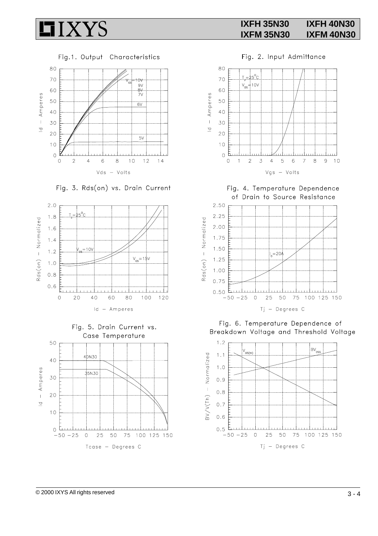

Fig.1. Output Characteristics



Fig. 3. Rds(on) vs. Drain Current





Fig. 2. Input Admittance



Fig. 4. Temperature Dependence of Drain to Source Resistance



Fig. 6. Temperature Dependence of Breakdown Voltage and Threshold Voltage